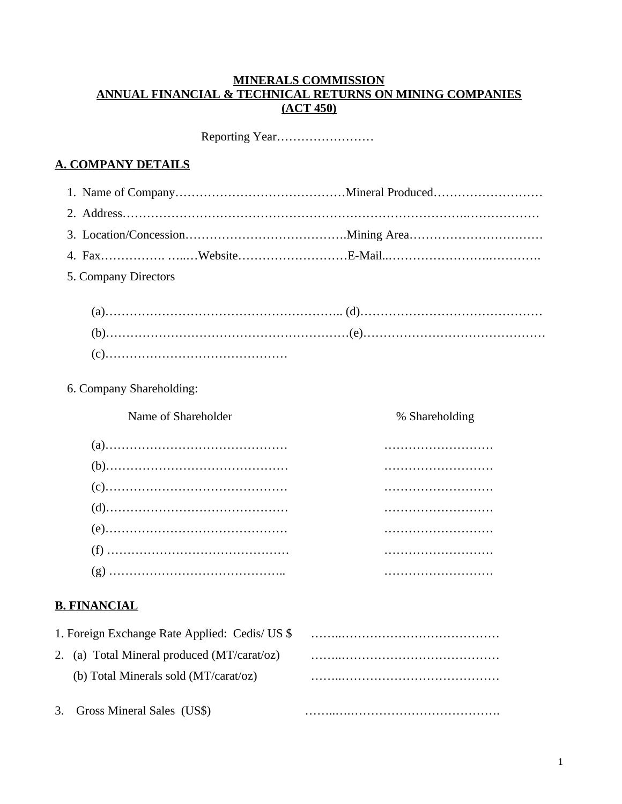#### **MINERALS COMMISSION ANNUAL FINANCIAL & TECHNICAL RETURNS ON MINING COMPANIES (ACT 450)**

|--|--|

## **A. COMPANY DETAILS**

| 5. Company Directors                           |                |
|------------------------------------------------|----------------|
|                                                |                |
|                                                |                |
|                                                |                |
|                                                |                |
| 6. Company Shareholding:                       |                |
| Name of Shareholder                            | % Shareholding |
|                                                |                |
|                                                |                |
|                                                |                |
|                                                |                |
|                                                |                |
|                                                |                |
|                                                |                |
| <b>B. FINANCIAL</b>                            |                |
| 1. Foreign Exchange Rate Applied: Cedis/ US \$ |                |
| 2. (a) Total Mineral produced (MT/carat/oz)    |                |
| (b) Total Minerals sold (MT/carat/oz)          |                |
| Gross Mineral Sales (US\$)<br>3.               |                |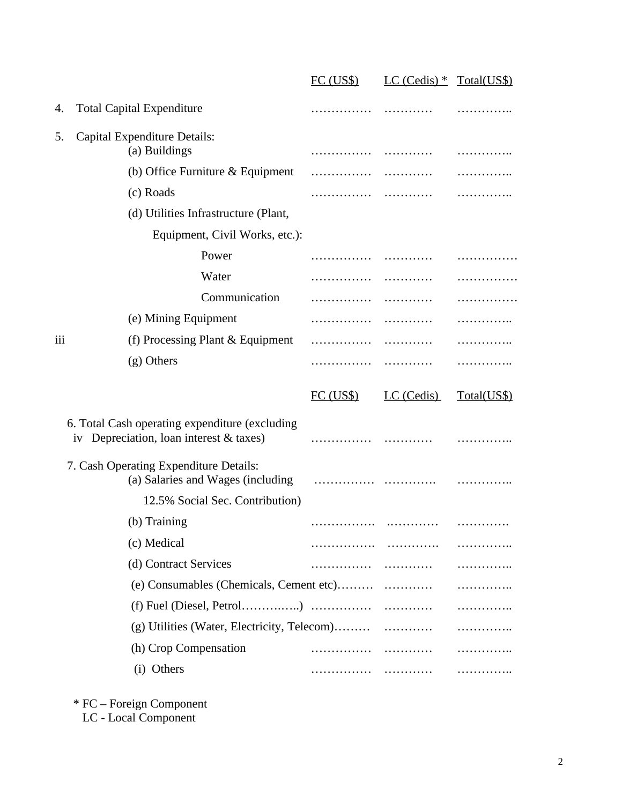|     |                                                                                           | FC (USS) | $LC$ (Cedis) $*$ Total(US\$) |             |
|-----|-------------------------------------------------------------------------------------------|----------|------------------------------|-------------|
| 4.  | <b>Total Capital Expenditure</b>                                                          | .        | .                            | .           |
| 5.  | Capital Expenditure Details:                                                              |          |                              |             |
|     | (a) Buildings                                                                             |          |                              | .           |
|     | (b) Office Furniture & Equipment                                                          |          |                              | .           |
|     | (c) Roads                                                                                 |          |                              | .           |
|     | (d) Utilities Infrastructure (Plant,                                                      |          |                              |             |
|     | Equipment, Civil Works, etc.):                                                            |          |                              |             |
|     | Power                                                                                     |          |                              | .           |
|     | Water                                                                                     | .        |                              |             |
|     | Communication                                                                             | .        | .                            | .           |
|     | (e) Mining Equipment                                                                      | .        |                              | .           |
| iii | (f) Processing Plant & Equipment                                                          | .        |                              | .           |
|     | (g) Others                                                                                | .        | .                            | .           |
|     |                                                                                           | FC (USS) | LC (Cedis)                   | Total(US\$) |
|     | 6. Total Cash operating expenditure (excluding<br>iv Depreciation, loan interest & taxes) |          |                              |             |
|     | 7. Cash Operating Expenditure Details:<br>(a) Salaries and Wages (including               |          |                              |             |
|     | 12.5% Social Sec. Contribution)                                                           |          |                              |             |
|     | (b) Training                                                                              |          |                              |             |
|     | (c) Medical                                                                               |          |                              |             |
|     | (d) Contract Services                                                                     | .        |                              |             |
|     |                                                                                           |          |                              |             |
|     |                                                                                           |          |                              |             |
|     |                                                                                           |          |                              |             |
|     | (h) Crop Compensation                                                                     |          |                              |             |
|     |                                                                                           |          |                              |             |

<sup>\*</sup> FC – Foreign Component

LC - Local Component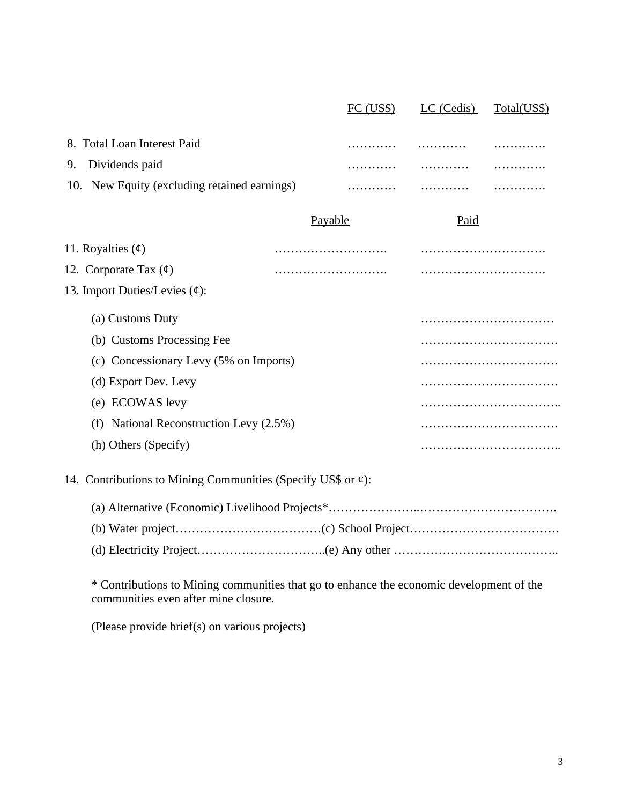|                                                              |         | FC (USS) | LC (Cedis) | Total(US\$) |
|--------------------------------------------------------------|---------|----------|------------|-------------|
| 8. Total Loan Interest Paid                                  |         |          |            | .           |
| Dividends paid<br>9.                                         |         |          |            |             |
| 10. New Equity (excluding retained earnings)                 |         |          | .          |             |
|                                                              | Payable |          | Paid       |             |
| 11. Royalties $(\text{\ensuremath{\mathfrak{e}}})$           |         |          |            |             |
| 12. Corporate Tax $(\mathfrak{c})$                           |         |          |            |             |
| 13. Import Duties/Levies (¢):                                |         |          |            |             |
| (a) Customs Duty                                             |         |          |            |             |
| (b) Customs Processing Fee                                   |         |          |            |             |
| (c) Concessionary Levy (5% on Imports)                       |         |          |            |             |
| (d) Export Dev. Levy                                         |         |          |            |             |
| (e) ECOWAS levy                                              |         |          |            |             |
| (f) National Reconstruction Levy (2.5%)                      |         |          |            |             |
| (h) Others (Specify)                                         |         |          |            |             |
| 14. Contributions to Mining Communities (Specify US\$ or ¢): |         |          |            |             |
|                                                              |         |          |            |             |
|                                                              |         |          |            |             |
|                                                              |         |          |            |             |

\* Contributions to Mining communities that go to enhance the economic development of the communities even after mine closure.

(Please provide brief(s) on various projects)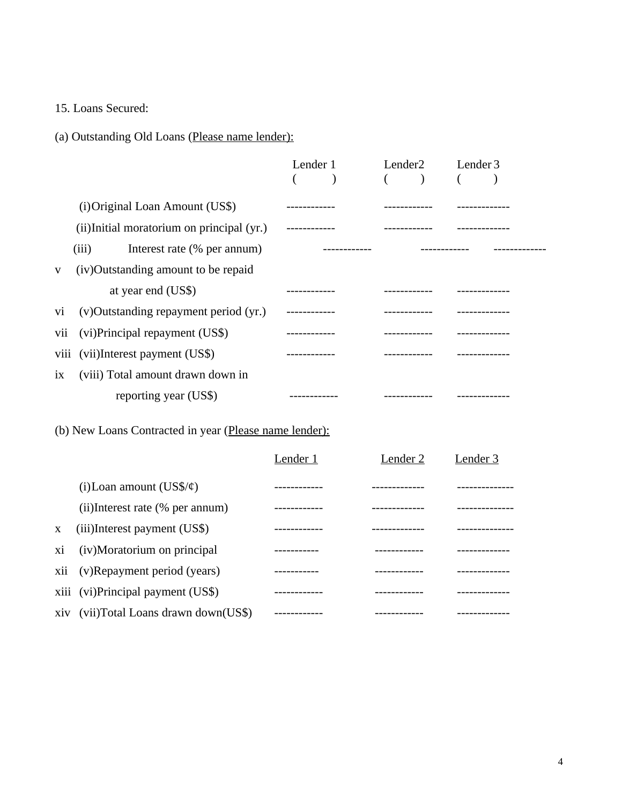15. Loans Secured:

(a) Outstanding Old Loans (Please name lender):

|              |                                            | Lender 1 | Lender2 |                          | Lender 3 |  |
|--------------|--------------------------------------------|----------|---------|--------------------------|----------|--|
|              |                                            |          |         | $\overline{\phantom{a}}$ |          |  |
|              | (i) Original Loan Amount (US\$)            |          |         |                          |          |  |
|              | (ii) Initial moratorium on principal (yr.) |          |         |                          |          |  |
|              | (iii)<br>Interest rate (% per annum)       |          |         |                          |          |  |
| $\mathbf{V}$ | (iv)Outstanding amount to be repaid        |          |         |                          |          |  |
|              | at year end (US\$)                         |          |         |                          |          |  |
| Vİ           | (v) Outstanding repayment period (yr.)     |          |         |                          |          |  |
| vii          | (vi)Principal repayment (US\$)             |          |         |                          |          |  |
| viii         | (vii)Interest payment (US\$)               |          |         |                          |          |  |
| ix           | (viii) Total amount drawn down in          |          |         |                          |          |  |
|              | reporting year (US\$)                      |          |         |                          |          |  |

# (b) New Loans Contracted in year (Please name lender):

|              |                                   | Lender 1 | Lender 2 | Lender 3 |
|--------------|-----------------------------------|----------|----------|----------|
|              | (i) Loan amount $(US\frac{6}{9})$ |          |          |          |
|              | (ii)Interest rate (% per annum)   |          |          |          |
| $\mathbf{X}$ | (iii)Interest payment (US\$)      |          |          |          |
| хi           | (iv)Moratorium on principal       |          |          |          |
| xii          | (v)Repayment period (years)       |          |          |          |
|              | xiii (vi)Principal payment (US\$) |          |          |          |
| xiv          | (vii)Total Loans drawn down(US\$) |          |          |          |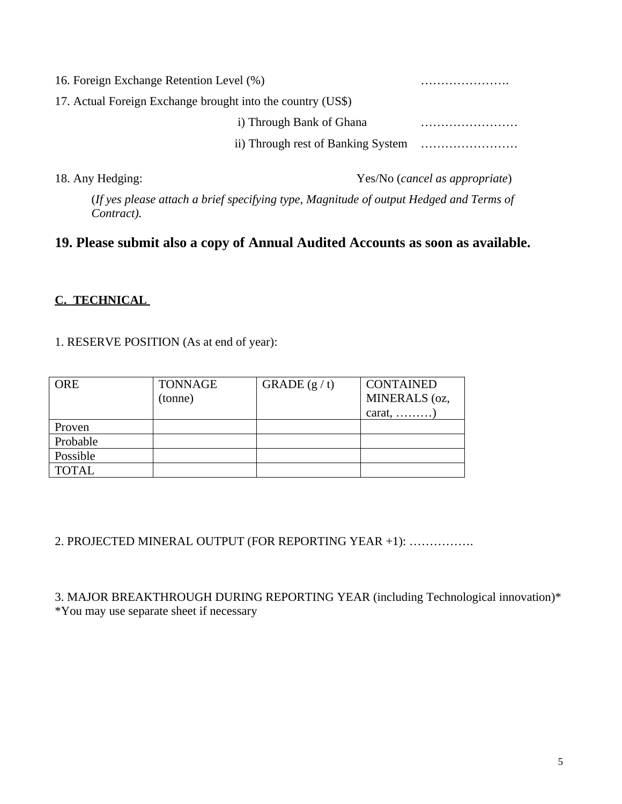| 16. Foreign Exchange Retention Level (%)                    |  |
|-------------------------------------------------------------|--|
| 17. Actual Foreign Exchange brought into the country (US\$) |  |
| i) Through Bank of Ghana                                    |  |
|                                                             |  |
|                                                             |  |

18. Any Hedging: Yes/No (*cancel as appropriate*)

(*If yes please attach a brief specifying type, Magnitude of output Hedged and Terms of Contract).*

## **19. Please submit also a copy of Annual Audited Accounts as soon as available.**

### **C. TECHNICAL**

1. RESERVE POSITION (As at end of year):

| <b>ORE</b>   | <b>TONNAGE</b><br>(tonne) | GRADE $(g / t)$ | CONTAINED<br>MINERALS (oz,<br>carat, $\dots\dots\dots$ |
|--------------|---------------------------|-----------------|--------------------------------------------------------|
| Proven       |                           |                 |                                                        |
| Probable     |                           |                 |                                                        |
| Possible     |                           |                 |                                                        |
| <b>TOTAL</b> |                           |                 |                                                        |

2. PROJECTED MINERAL OUTPUT (FOR REPORTING YEAR +1): …………….

3. MAJOR BREAKTHROUGH DURING REPORTING YEAR (including Technological innovation)\* \*You may use separate sheet if necessary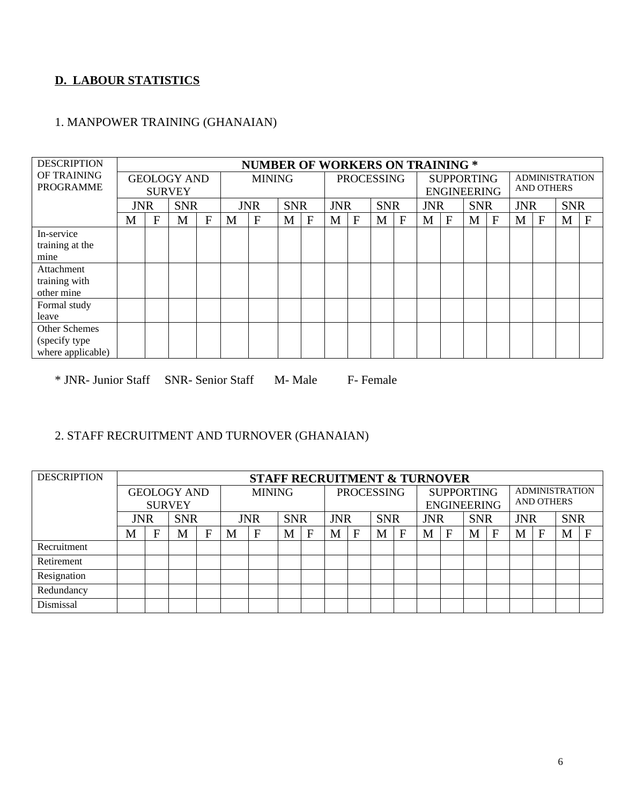## **D. LABOUR STATISTICS**

#### 1. MANPOWER TRAINING (GHANAIAN)

| <b>DESCRIPTION</b>                                  |            |   |                                     |   |   | <b>NUMBER OF WORKERS ON TRAINING *</b> |            |             |            |             |                   |              |            |                                         |            |   |                                            |   |            |             |  |
|-----------------------------------------------------|------------|---|-------------------------------------|---|---|----------------------------------------|------------|-------------|------------|-------------|-------------------|--------------|------------|-----------------------------------------|------------|---|--------------------------------------------|---|------------|-------------|--|
| OF TRAINING<br><b>PROGRAMME</b>                     |            |   | <b>GEOLOGY AND</b><br><b>SURVEY</b> |   |   | <b>MINING</b>                          |            |             |            |             | <b>PROCESSING</b> |              |            | <b>SUPPORTING</b><br><b>ENGINEERING</b> |            |   | <b>ADMINISTRATION</b><br><b>AND OTHERS</b> |   |            |             |  |
|                                                     | <b>JNR</b> |   | <b>SNR</b>                          |   |   | <b>JNR</b>                             | <b>SNR</b> |             | <b>JNR</b> |             | <b>SNR</b>        |              | <b>JNR</b> |                                         | <b>SNR</b> |   | <b>JNR</b>                                 |   | <b>SNR</b> |             |  |
|                                                     | M          | F | M                                   | F | M | $\mathbf{F}$                           | M          | $\mathbf F$ | M          | $\mathbf F$ | M                 | $\mathbf{F}$ | M          | F                                       | M          | F | M                                          | F | M          | $\mathbf F$ |  |
| In-service<br>training at the<br>mine               |            |   |                                     |   |   |                                        |            |             |            |             |                   |              |            |                                         |            |   |                                            |   |            |             |  |
| Attachment<br>training with<br>other mine           |            |   |                                     |   |   |                                        |            |             |            |             |                   |              |            |                                         |            |   |                                            |   |            |             |  |
| Formal study<br>leave                               |            |   |                                     |   |   |                                        |            |             |            |             |                   |              |            |                                         |            |   |                                            |   |            |             |  |
| Other Schemes<br>(specify type<br>where applicable) |            |   |                                     |   |   |                                        |            |             |            |             |                   |              |            |                                         |            |   |                                            |   |            |             |  |

\* JNR- Junior Staff SNR- Senior Staff M- Male F- Female

### 2. STAFF RECRUITMENT AND TURNOVER (GHANAIAN)

| <b>DESCRIPTION</b> |            |   |                                     |   |   | <b>STAFF RECRUITMENT &amp; TURNOVER</b> |   |              |   |              |                   |              |            |                                         |            |   |                                            |   |            |   |
|--------------------|------------|---|-------------------------------------|---|---|-----------------------------------------|---|--------------|---|--------------|-------------------|--------------|------------|-----------------------------------------|------------|---|--------------------------------------------|---|------------|---|
|                    |            |   | <b>GEOLOGY AND</b><br><b>SURVEY</b> |   |   | <b>MINING</b>                           |   |              |   |              | <b>PROCESSING</b> |              |            | <b>SUPPORTING</b><br><b>ENGINEERING</b> |            |   | <b>ADMINISTRATION</b><br><b>AND OTHERS</b> |   |            |   |
|                    | <b>JNR</b> |   | <b>SNR</b>                          |   |   | <b>JNR</b>                              |   | <b>SNR</b>   |   | <b>JNR</b>   |                   | <b>SNR</b>   | <b>JNR</b> |                                         | <b>SNR</b> |   | <b>JNR</b>                                 |   | <b>SNR</b> |   |
|                    | М          | F | M                                   | F | M | $\mathbf{F}$                            | M | $\mathbf{F}$ | M | $\mathbf{F}$ | M                 | $\mathbf{F}$ | M          | Е                                       | M          | F | M                                          | F | M          | F |
| Recruitment        |            |   |                                     |   |   |                                         |   |              |   |              |                   |              |            |                                         |            |   |                                            |   |            |   |
| Retirement         |            |   |                                     |   |   |                                         |   |              |   |              |                   |              |            |                                         |            |   |                                            |   |            |   |
| Resignation        |            |   |                                     |   |   |                                         |   |              |   |              |                   |              |            |                                         |            |   |                                            |   |            |   |
| Redundancy         |            |   |                                     |   |   |                                         |   |              |   |              |                   |              |            |                                         |            |   |                                            |   |            |   |
| Dismissal          |            |   |                                     |   |   |                                         |   |              |   |              |                   |              |            |                                         |            |   |                                            |   |            |   |